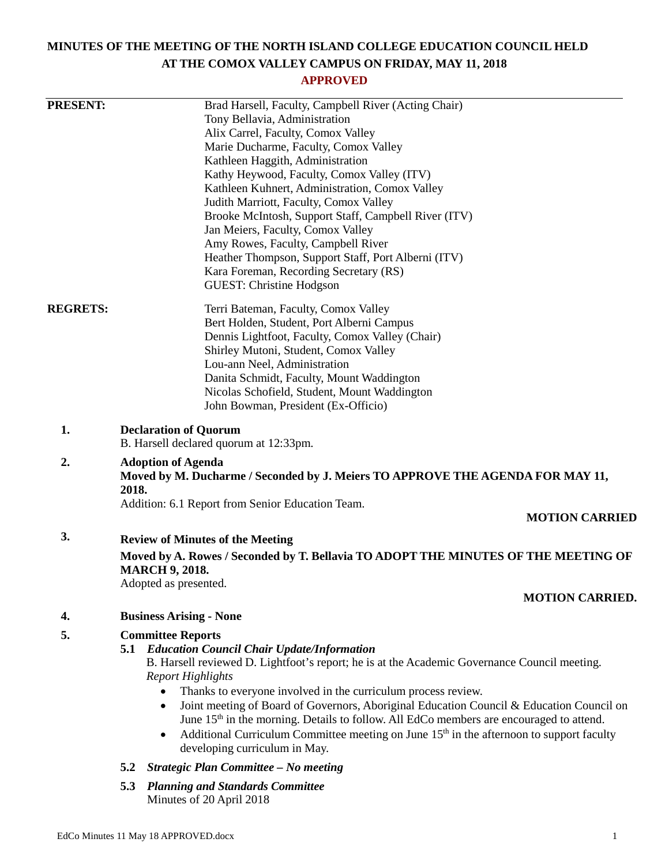# **MINUTES OF THE MEETING OF THE NORTH ISLAND COLLEGE EDUCATION COUNCIL HELD AT THE COMOX VALLEY CAMPUS ON FRIDAY, MAY 11, 2018**

## **APPROVED**

| <b>PRESENT:</b> | Brad Harsell, Faculty, Campbell River (Acting Chair)                                                                                                                                                         |
|-----------------|--------------------------------------------------------------------------------------------------------------------------------------------------------------------------------------------------------------|
|                 | Tony Bellavia, Administration                                                                                                                                                                                |
|                 | Alix Carrel, Faculty, Comox Valley                                                                                                                                                                           |
|                 | Marie Ducharme, Faculty, Comox Valley                                                                                                                                                                        |
|                 | Kathleen Haggith, Administration                                                                                                                                                                             |
|                 | Kathy Heywood, Faculty, Comox Valley (ITV)                                                                                                                                                                   |
|                 | Kathleen Kuhnert, Administration, Comox Valley                                                                                                                                                               |
|                 | Judith Marriott, Faculty, Comox Valley                                                                                                                                                                       |
|                 | Brooke McIntosh, Support Staff, Campbell River (ITV)                                                                                                                                                         |
|                 | Jan Meiers, Faculty, Comox Valley                                                                                                                                                                            |
|                 | Amy Rowes, Faculty, Campbell River                                                                                                                                                                           |
|                 | Heather Thompson, Support Staff, Port Alberni (ITV)                                                                                                                                                          |
|                 | Kara Foreman, Recording Secretary (RS)                                                                                                                                                                       |
|                 | GUEST: Christine Hodgson                                                                                                                                                                                     |
| <b>REGRETS:</b> | Terri Bateman, Faculty, Comox Valley                                                                                                                                                                         |
|                 | Bert Holden, Student, Port Alberni Campus                                                                                                                                                                    |
|                 | Dennis Lightfoot, Faculty, Comox Valley (Chair)                                                                                                                                                              |
|                 | Shirley Mutoni, Student, Comox Valley                                                                                                                                                                        |
|                 | Lou-ann Neel, Administration                                                                                                                                                                                 |
|                 | Danita Schmidt, Faculty, Mount Waddington                                                                                                                                                                    |
|                 | Nicolas Schofield, Student, Mount Waddington                                                                                                                                                                 |
|                 | John Bowman, President (Ex-Officio)                                                                                                                                                                          |
| 1.              | <b>Declaration of Quorum</b>                                                                                                                                                                                 |
|                 | B. Harsell declared quorum at 12:33pm.                                                                                                                                                                       |
| 2.              | <b>Adoption of Agenda</b><br>Moved by M. Ducharme / Seconded by J. Meiers TO APPROVE THE AGENDA FOR MAY 11,                                                                                                  |
|                 | 2018.                                                                                                                                                                                                        |
|                 | Addition: 6.1 Report from Senior Education Team.<br><b>MOTION CARRIED</b>                                                                                                                                    |
| 3.              |                                                                                                                                                                                                              |
|                 | <b>Review of Minutes of the Meeting</b><br>Moved by A. Rowes / Seconded by T. Bellavia TO ADOPT THE MINUTES OF THE MEETING OF                                                                                |
|                 | <b>MARCH 9, 2018.</b>                                                                                                                                                                                        |
|                 | Adopted as presented.                                                                                                                                                                                        |
|                 | <b>MOTION CARRIED.</b>                                                                                                                                                                                       |
| 4.              | <b>Business Arising - None</b>                                                                                                                                                                               |
| 5.              | <b>Committee Reports</b>                                                                                                                                                                                     |
|                 | 5.1 Education Council Chair Update/Information                                                                                                                                                               |
|                 | B. Harsell reviewed D. Lightfoot's report; he is at the Academic Governance Council meeting.<br><b>Report Highlights</b>                                                                                     |
|                 | Thanks to everyone involved in the curriculum process review.                                                                                                                                                |
|                 | Joint meeting of Board of Governors, Aboriginal Education Council & Education Council on<br>$\bullet$<br>June 15 <sup>th</sup> in the morning. Details to follow. All EdCo members are encouraged to attend. |
|                 | Additional Curriculum Committee meeting on June 15 <sup>th</sup> in the afternoon to support faculty<br>$\bullet$<br>developing curriculum in May.                                                           |
|                 | Strategic Plan Committee - No meeting<br>5.2                                                                                                                                                                 |
|                 | <b>Planning and Standards Committee</b><br>5.3                                                                                                                                                               |
|                 | Minutes of 20 April 2018                                                                                                                                                                                     |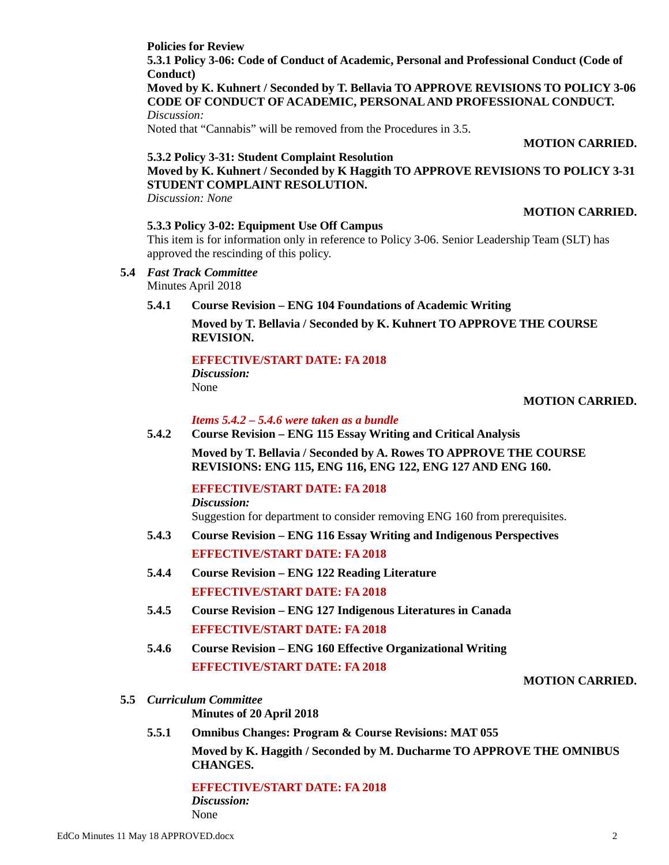### **Policies for Review**

**5.3.1 Policy 3-06: Code of Conduct of Academic, Personal and Professional Conduct (Code of Conduct)**

**Moved by K. Kuhnert / Seconded by T. Bellavia TO APPROVE REVISIONS TO POLICY 3-06 CODE OF CONDUCT OF ACADEMIC, PERSONAL AND PROFESSIONAL CONDUCT.** *Discussion:*

Noted that "Cannabis" will be removed from the Procedures in 3.5.

**MOTION CARRIED.**

## **5.3.2 Policy 3-31: Student Complaint Resolution**

**Moved by K. Kuhnert / Seconded by K Haggith TO APPROVE REVISIONS TO POLICY 3-31 STUDENT COMPLAINT RESOLUTION.**

*Discussion: None*

# **MOTION CARRIED.**

**5.3.3 Policy 3-02: Equipment Use Off Campus**

This item is for information only in reference to Policy 3-06. Senior Leadership Team (SLT) has approved the rescinding of this policy.

**5.4** *Fast Track Committee*

Minutes April 2018

**5.4.1 Course Revision – ENG 104 Foundations of Academic Writing**

**Moved by T. Bellavia / Seconded by K. Kuhnert TO APPROVE THE COURSE REVISION.**

## **EFFECTIVE/START DATE: FA 2018**

*Discussion:* None

### **MOTION CARRIED.**

*Items 5.4.2 – 5.4.6 were taken as a bundle*

### **5.4.2 Course Revision – ENG 115 Essay Writing and Critical Analysis**

**Moved by T. Bellavia / Seconded by A. Rowes TO APPROVE THE COURSE REVISIONS: ENG 115, ENG 116, ENG 122, ENG 127 AND ENG 160.**

# **EFFECTIVE/START DATE: FA 2018**

*Discussion:* Suggestion for department to consider removing ENG 160 from prerequisites.

- **5.4.3 Course Revision – ENG 116 Essay Writing and Indigenous Perspectives EFFECTIVE/START DATE: FA 2018**
- **5.4.4 Course Revision – ENG 122 Reading Literature EFFECTIVE/START DATE: FA 2018**
- **5.4.5 Course Revision – ENG 127 Indigenous Literatures in Canada EFFECTIVE/START DATE: FA 2018**
- **5.4.6 Course Revision – ENG 160 Effective Organizational Writing EFFECTIVE/START DATE: FA 2018**

### **MOTION CARRIED.**

**5.5** *Curriculum Committee*

**Minutes of 20 April 2018**

**5.5.1 Omnibus Changes: Program & Course Revisions: MAT 055**

**Moved by K. Haggith / Seconded by M. Ducharme TO APPROVE THE OMNIBUS CHANGES.**

**EFFECTIVE/START DATE: FA 2018** *Discussion:* None